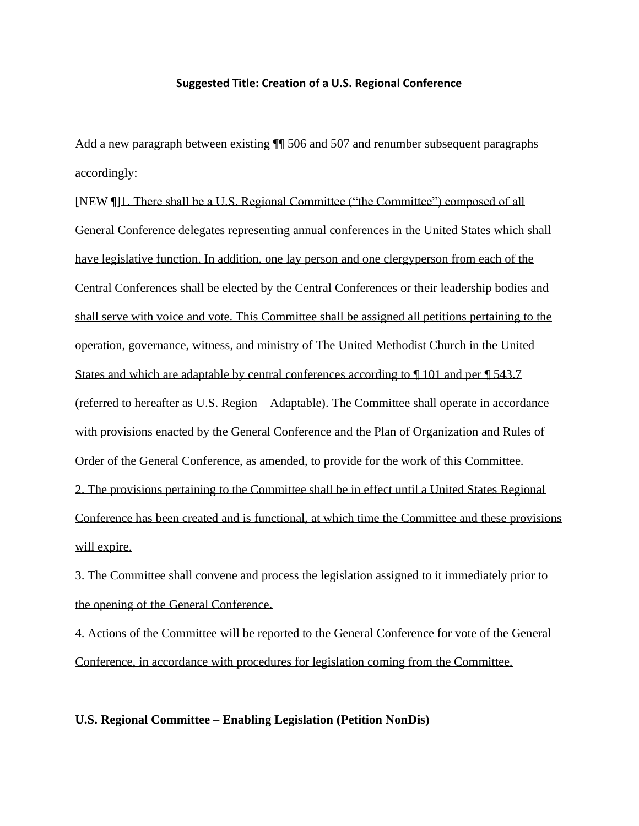### **Suggested Title: Creation of a U.S. Regional Conference**

Add a new paragraph between existing  $\P$  506 and 507 and renumber subsequent paragraphs accordingly:

[NEW ¶]1. There shall be a U.S. Regional Committee ("the Committee") composed of all General Conference delegates representing annual conferences in the United States which shall have legislative function. In addition, one lay person and one clergyperson from each of the Central Conferences shall be elected by the Central Conferences or their leadership bodies and shall serve with voice and vote. This Committee shall be assigned all petitions pertaining to the operation, governance, witness, and ministry of The United Methodist Church in the United States and which are adaptable by central conferences according to ¶ 101 and per ¶ 543.7 (referred to hereafter as U.S. Region – Adaptable). The Committee shall operate in accordance with provisions enacted by the General Conference and the Plan of Organization and Rules of Order of the General Conference, as amended, to provide for the work of this Committee. 2. The provisions pertaining to the Committee shall be in effect until a United States Regional Conference has been created and is functional, at which time the Committee and these provisions will expire.

3. The Committee shall convene and process the legislation assigned to it immediately prior to the opening of the General Conference.

4. Actions of the Committee will be reported to the General Conference for vote of the General Conference, in accordance with procedures for legislation coming from the Committee.

## **U.S. Regional Committee – Enabling Legislation (Petition NonDis)**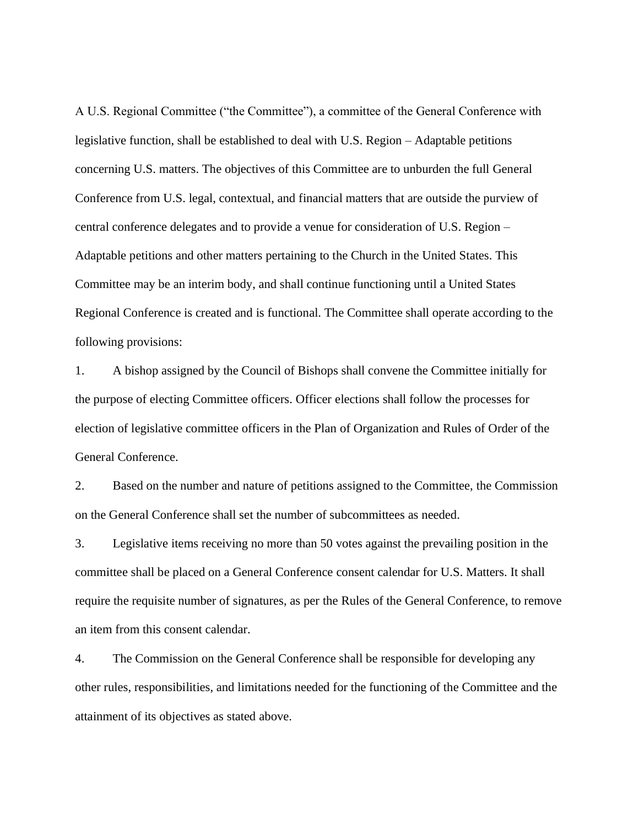A U.S. Regional Committee ("the Committee"), a committee of the General Conference with legislative function, shall be established to deal with U.S. Region – Adaptable petitions concerning U.S. matters. The objectives of this Committee are to unburden the full General Conference from U.S. legal, contextual, and financial matters that are outside the purview of central conference delegates and to provide a venue for consideration of U.S. Region – Adaptable petitions and other matters pertaining to the Church in the United States. This Committee may be an interim body, and shall continue functioning until a United States Regional Conference is created and is functional. The Committee shall operate according to the following provisions:

1. A bishop assigned by the Council of Bishops shall convene the Committee initially for the purpose of electing Committee officers. Officer elections shall follow the processes for election of legislative committee officers in the Plan of Organization and Rules of Order of the General Conference.

2. Based on the number and nature of petitions assigned to the Committee, the Commission on the General Conference shall set the number of subcommittees as needed.

3. Legislative items receiving no more than 50 votes against the prevailing position in the committee shall be placed on a General Conference consent calendar for U.S. Matters. It shall require the requisite number of signatures, as per the Rules of the General Conference, to remove an item from this consent calendar.

4. The Commission on the General Conference shall be responsible for developing any other rules, responsibilities, and limitations needed for the functioning of the Committee and the attainment of its objectives as stated above.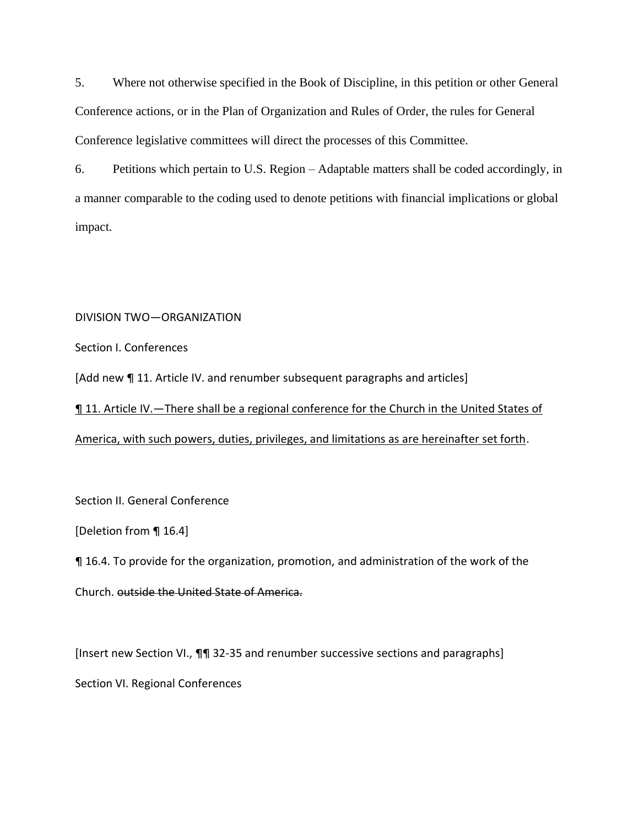5. Where not otherwise specified in the Book of Discipline, in this petition or other General Conference actions, or in the Plan of Organization and Rules of Order, the rules for General Conference legislative committees will direct the processes of this Committee.

6. Petitions which pertain to U.S. Region – Adaptable matters shall be coded accordingly, in a manner comparable to the coding used to denote petitions with financial implications or global impact.

# DIVISION TWO—ORGANIZATION

Section I. Conferences

[Add new ¶ 11. Article IV. and renumber subsequent paragraphs and articles]

¶ 11. Article IV.—There shall be a regional conference for the Church in the United States of America, with such powers, duties, privileges, and limitations as are hereinafter set forth.

Section II. General Conference

[Deletion from ¶ 16.4]

¶ 16.4. To provide for the organization, promotion, and administration of the work of the Church. outside the United State of America.

[Insert new Section VI., ¶¶ 32-35 and renumber successive sections and paragraphs] Section VI. Regional Conferences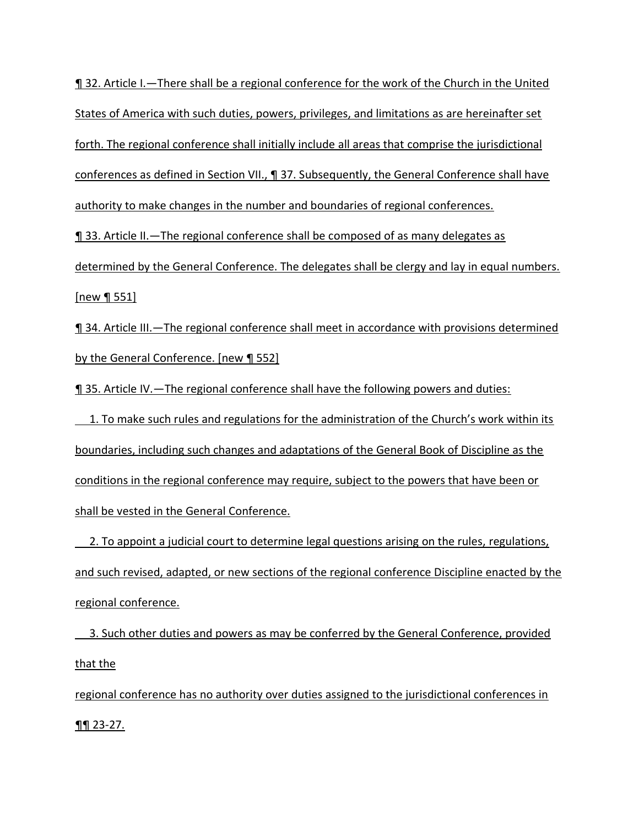¶ 32. Article I.—There shall be a regional conference for the work of the Church in the United States of America with such duties, powers, privileges, and limitations as are hereinafter set forth. The regional conference shall initially include all areas that comprise the jurisdictional conferences as defined in Section VII., ¶ 37. Subsequently, the General Conference shall have authority to make changes in the number and boundaries of regional conferences.

¶ 33. Article II.—The regional conference shall be composed of as many delegates as determined by the General Conference. The delegates shall be clergy and lay in equal numbers. [new ¶ 551]

¶ 34. Article III.—The regional conference shall meet in accordance with provisions determined by the General Conference. [new ¶ 552]

¶ 35. Article IV.—The regional conference shall have the following powers and duties:

 1. To make such rules and regulations for the administration of the Church's work within its boundaries, including such changes and adaptations of the General Book of Discipline as the conditions in the regional conference may require, subject to the powers that have been or shall be vested in the General Conference.

2. To appoint a judicial court to determine legal questions arising on the rules, regulations, and such revised, adapted, or new sections of the regional conference Discipline enacted by the regional conference.

 3. Such other duties and powers as may be conferred by the General Conference, provided that the

regional conference has no authority over duties assigned to the jurisdictional conferences in  $\P\P 23 - 27.$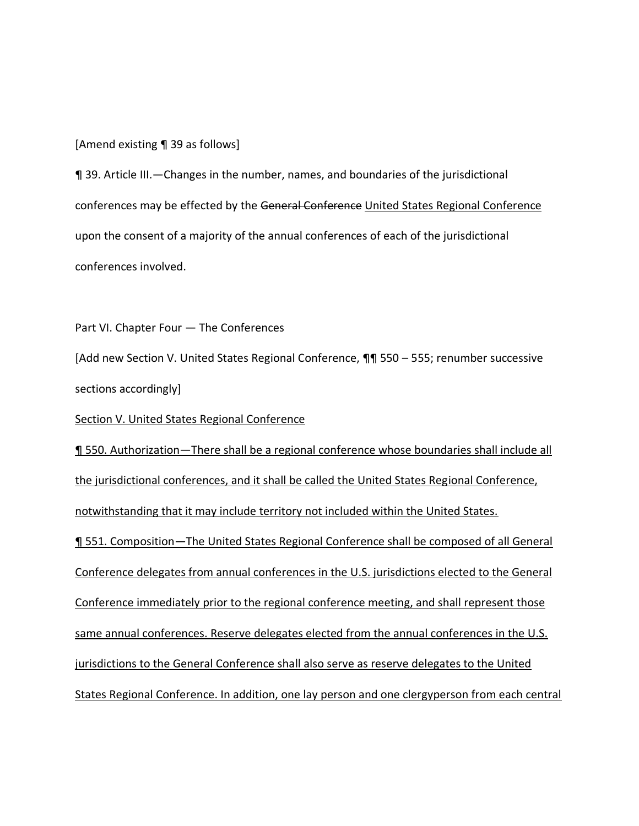[Amend existing ¶ 39 as follows]

¶ 39. Article III.—Changes in the number, names, and boundaries of the jurisdictional conferences may be effected by the General Conference United States Regional Conference upon the consent of a majority of the annual conferences of each of the jurisdictional conferences involved.

Part VI. Chapter Four — The Conferences

[Add new Section V. United States Regional Conference, ¶¶ 550 – 555; renumber successive sections accordingly]

Section V. United States Regional Conference

¶ 550. Authorization—There shall be a regional conference whose boundaries shall include all the jurisdictional conferences, and it shall be called the United States Regional Conference, notwithstanding that it may include territory not included within the United States. ¶ 551. Composition—The United States Regional Conference shall be composed of all General Conference delegates from annual conferences in the U.S. jurisdictions elected to the General Conference immediately prior to the regional conference meeting, and shall represent those same annual conferences. Reserve delegates elected from the annual conferences in the U.S. jurisdictions to the General Conference shall also serve as reserve delegates to the United States Regional Conference. In addition, one lay person and one clergyperson from each central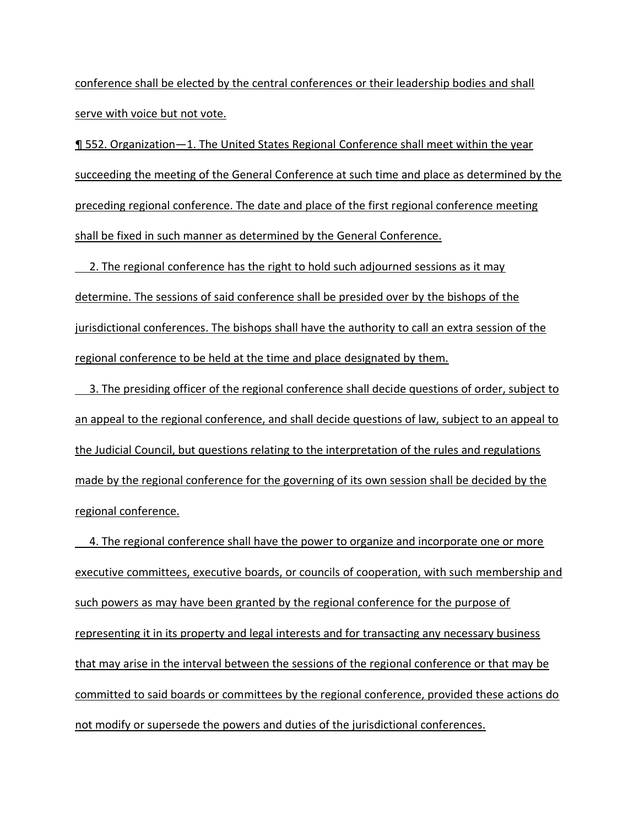conference shall be elected by the central conferences or their leadership bodies and shall serve with voice but not vote.

¶ 552. Organization—1. The United States Regional Conference shall meet within the year succeeding the meeting of the General Conference at such time and place as determined by the preceding regional conference. The date and place of the first regional conference meeting shall be fixed in such manner as determined by the General Conference.

 2. The regional conference has the right to hold such adjourned sessions as it may determine. The sessions of said conference shall be presided over by the bishops of the jurisdictional conferences. The bishops shall have the authority to call an extra session of the regional conference to be held at the time and place designated by them.

3. The presiding officer of the regional conference shall decide questions of order, subject to an appeal to the regional conference, and shall decide questions of law, subject to an appeal to the Judicial Council, but questions relating to the interpretation of the rules and regulations made by the regional conference for the governing of its own session shall be decided by the regional conference.

 4. The regional conference shall have the power to organize and incorporate one or more executive committees, executive boards, or councils of cooperation, with such membership and such powers as may have been granted by the regional conference for the purpose of representing it in its property and legal interests and for transacting any necessary business that may arise in the interval between the sessions of the regional conference or that may be committed to said boards or committees by the regional conference, provided these actions do not modify or supersede the powers and duties of the jurisdictional conferences.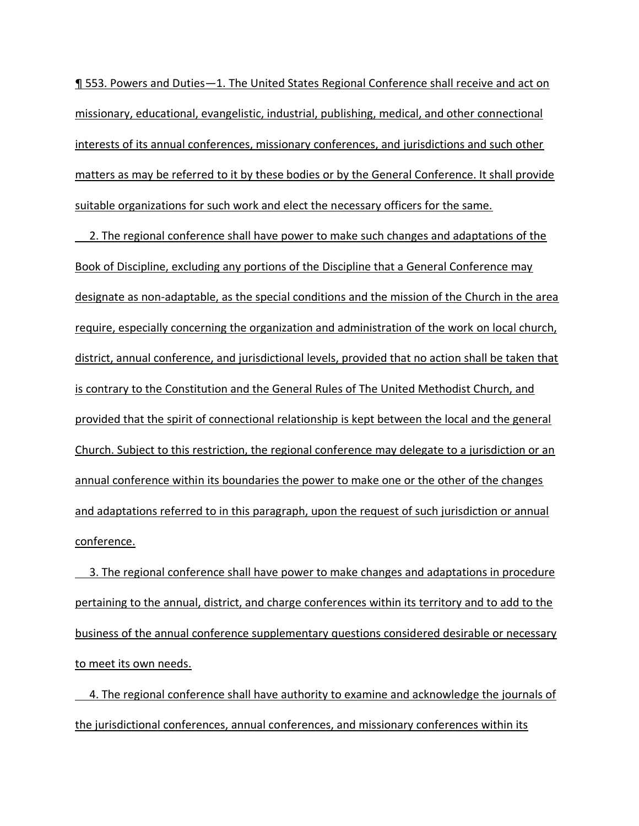¶ 553. Powers and Duties—1. The United States Regional Conference shall receive and act on missionary, educational, evangelistic, industrial, publishing, medical, and other connectional interests of its annual conferences, missionary conferences, and jurisdictions and such other matters as may be referred to it by these bodies or by the General Conference. It shall provide suitable organizations for such work and elect the necessary officers for the same.

 2. The regional conference shall have power to make such changes and adaptations of the Book of Discipline, excluding any portions of the Discipline that a General Conference may designate as non-adaptable, as the special conditions and the mission of the Church in the area require, especially concerning the organization and administration of the work on local church, district, annual conference, and jurisdictional levels, provided that no action shall be taken that is contrary to the Constitution and the General Rules of The United Methodist Church, and provided that the spirit of connectional relationship is kept between the local and the general Church. Subject to this restriction, the regional conference may delegate to a jurisdiction or an annual conference within its boundaries the power to make one or the other of the changes and adaptations referred to in this paragraph, upon the request of such jurisdiction or annual conference.

3. The regional conference shall have power to make changes and adaptations in procedure pertaining to the annual, district, and charge conferences within its territory and to add to the business of the annual conference supplementary questions considered desirable or necessary to meet its own needs.

 4. The regional conference shall have authority to examine and acknowledge the journals of the jurisdictional conferences, annual conferences, and missionary conferences within its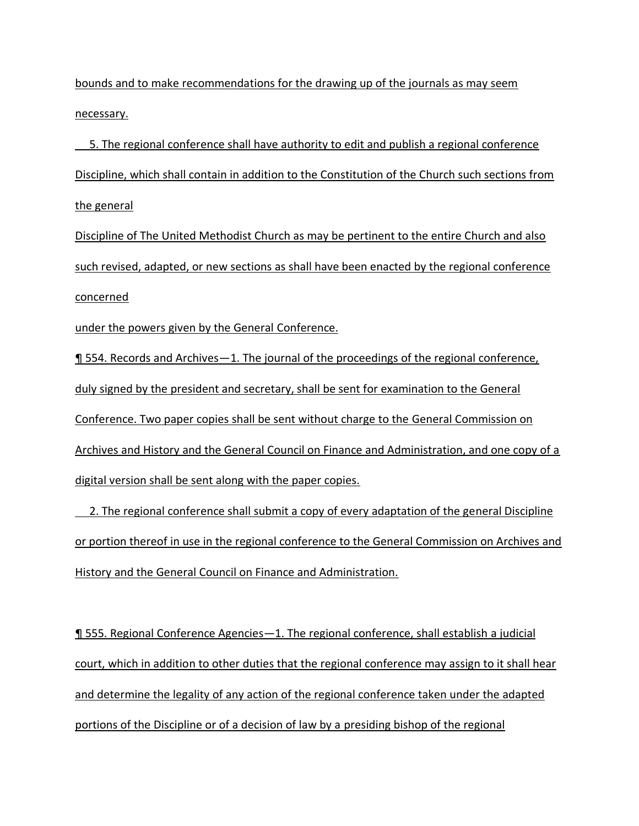bounds and to make recommendations for the drawing up of the journals as may seem necessary.

 5. The regional conference shall have authority to edit and publish a regional conference Discipline, which shall contain in addition to the Constitution of the Church such sections from the general

Discipline of The United Methodist Church as may be pertinent to the entire Church and also such revised, adapted, or new sections as shall have been enacted by the regional conference concerned

under the powers given by the General Conference.

¶ 554. Records and Archives—1. The journal of the proceedings of the regional conference, duly signed by the president and secretary, shall be sent for examination to the General Conference. Two paper copies shall be sent without charge to the General Commission on Archives and History and the General Council on Finance and Administration, and one copy of a digital version shall be sent along with the paper copies.

2. The regional conference shall submit a copy of every adaptation of the general Discipline or portion thereof in use in the regional conference to the General Commission on Archives and History and the General Council on Finance and Administration.

¶ 555. Regional Conference Agencies—1. The regional conference, shall establish a judicial court, which in addition to other duties that the regional conference may assign to it shall hear and determine the legality of any action of the regional conference taken under the adapted portions of the Discipline or of a decision of law by a presiding bishop of the regional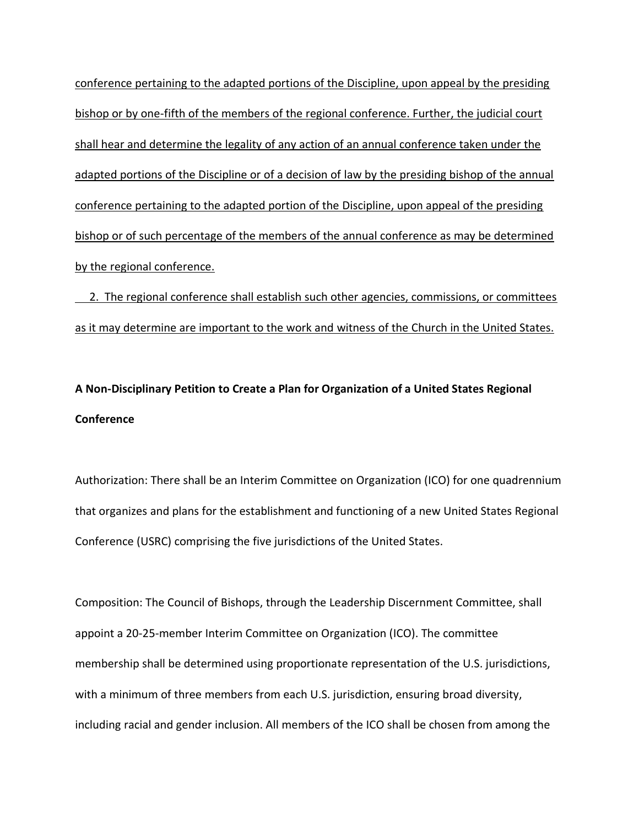conference pertaining to the adapted portions of the Discipline, upon appeal by the presiding bishop or by one-fifth of the members of the regional conference. Further, the judicial court shall hear and determine the legality of any action of an annual conference taken under the adapted portions of the Discipline or of a decision of law by the presiding bishop of the annual conference pertaining to the adapted portion of the Discipline, upon appeal of the presiding bishop or of such percentage of the members of the annual conference as may be determined by the regional conference.

2. The regional conference shall establish such other agencies, commissions, or committees as it may determine are important to the work and witness of the Church in the United States.

# **A Non-Disciplinary Petition to Create a Plan for Organization of a United States Regional Conference**

Authorization: There shall be an Interim Committee on Organization (ICO) for one quadrennium that organizes and plans for the establishment and functioning of a new United States Regional Conference (USRC) comprising the five jurisdictions of the United States.

Composition: The Council of Bishops, through the Leadership Discernment Committee, shall appoint a 20-25-member Interim Committee on Organization (ICO). The committee membership shall be determined using proportionate representation of the U.S. jurisdictions, with a minimum of three members from each U.S. jurisdiction, ensuring broad diversity, including racial and gender inclusion. All members of the ICO shall be chosen from among the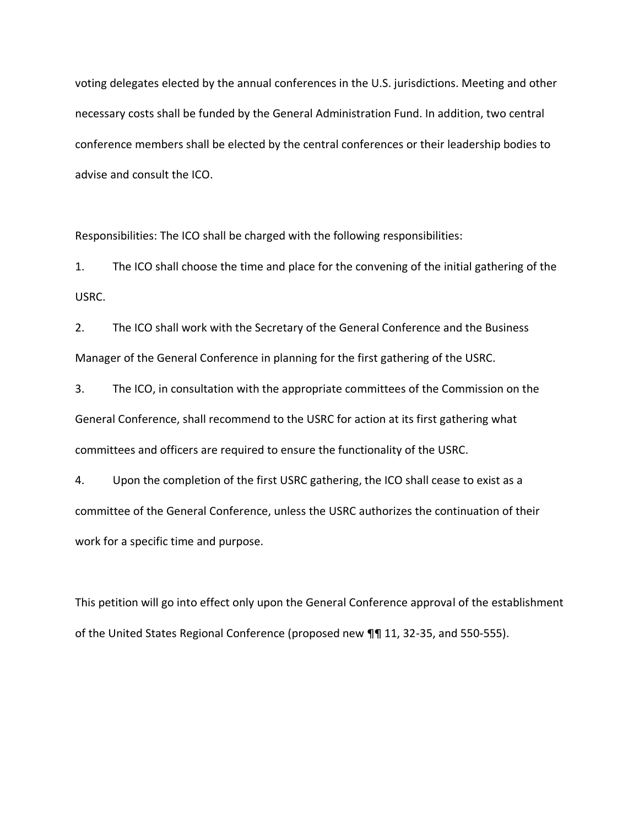voting delegates elected by the annual conferences in the U.S. jurisdictions. Meeting and other necessary costs shall be funded by the General Administration Fund. In addition, two central conference members shall be elected by the central conferences or their leadership bodies to advise and consult the ICO.

Responsibilities: The ICO shall be charged with the following responsibilities:

1. The ICO shall choose the time and place for the convening of the initial gathering of the USRC.

2. The ICO shall work with the Secretary of the General Conference and the Business Manager of the General Conference in planning for the first gathering of the USRC.

3. The ICO, in consultation with the appropriate committees of the Commission on the General Conference, shall recommend to the USRC for action at its first gathering what committees and officers are required to ensure the functionality of the USRC.

4. Upon the completion of the first USRC gathering, the ICO shall cease to exist as a committee of the General Conference, unless the USRC authorizes the continuation of their work for a specific time and purpose.

This petition will go into effect only upon the General Conference approval of the establishment of the United States Regional Conference (proposed new ¶¶ 11, 32-35, and 550-555).